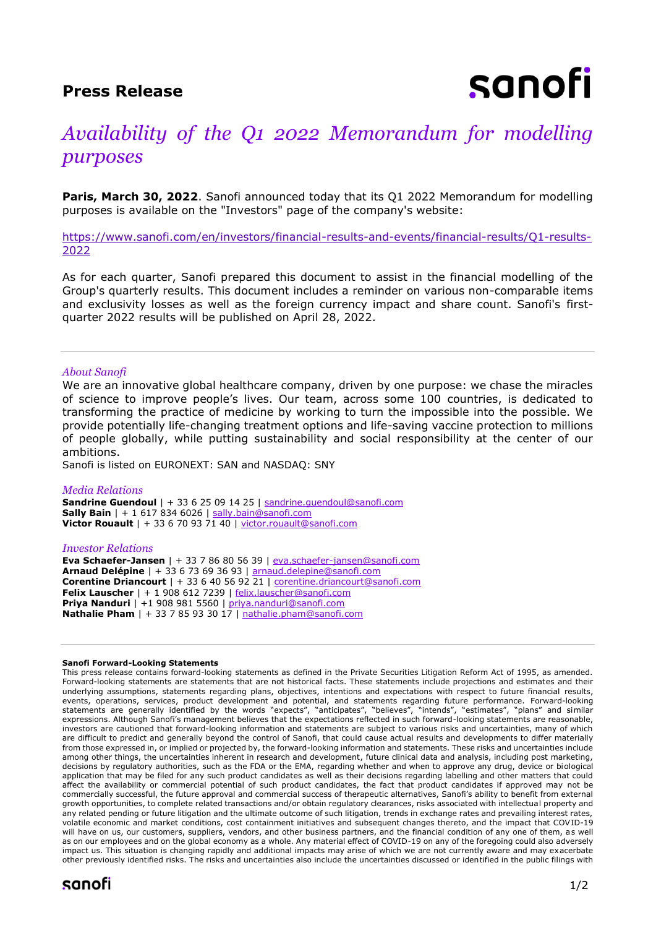# **Press Release**



# *Availability of the Q1 2022 Memorandum for modelling purposes*

**Paris, March 30, 2022.** Sanofi announced today that its Q1 2022 Memorandum for modelling purposes is available on the "Investors" page of the company's website:

[https://www.sanofi.com/en/investors/financial-results-and-events/financial-results/Q1-results-](https://www.sanofi.com/en/investors/financial-results-and-events/financial-results/Q1-results-2022)[2022](https://www.sanofi.com/en/investors/financial-results-and-events/financial-results/Q1-results-2022)

As for each quarter, Sanofi prepared this document to assist in the financial modelling of the Group's quarterly results. This document includes a reminder on various non-comparable items and exclusivity losses as well as the foreign currency impact and share count. Sanofi's firstquarter 2022 results will be published on April 28, 2022.

## *About Sanofi*

We are an innovative global healthcare company, driven by one purpose: we chase the miracles of science to improve people's lives. Our team, across some 100 countries, is dedicated to transforming the practice of medicine by working to turn the impossible into the possible. We provide potentially life-changing treatment options and life-saving vaccine protection to millions of people globally, while putting sustainability and social responsibility at the center of our ambitions.

Sanofi is listed on EURONEXT: SAN and NASDAQ: SNY

### *Media Relations*

**Sandrine Guendoul** | + 33 6 25 09 14 25 | [sandrine.guendoul@sanofi.com](mailto:sandrine.guendoul@sanofi.com) **Sally Bain** | + 1 617 834 6026 | [sally.bain@sanofi.com](mailto:sally.bain@sanofi.com) **Victor Rouault** | + 33 6 70 93 71 40 | [victor.rouault@sanofi.com](mailto:victor.rouault@sanofi.com)

#### *Investor Relations*

**Eva Schaefer-Jansen** | + 33 7 86 80 56 39 | [eva.schaefer-jansen@sanofi.com](mailto:eva.schaefer-jansen@sanofi.com) **Arnaud Delépine** | + 33 6 73 69 36 93 | [arnaud.delepine@sanofi.com](mailto:arnaud.delepine@sanofi.com) **Corentine Driancourt** | + 33 6 40 56 92 21 | [corentine.driancourt@sanofi.com](mailto:corentine.driancourt@sanofi.com) **Felix Lauscher** | + 1 908 612 7239 | [felix.lauscher@sanofi.com](mailto:felix.lauscher@sanofi.com) **Priya Nanduri** | +1 908 981 5560 | [priya.nanduri@sanofi.com](mailto:priya.nanduri@sanofi.com) **Nathalie Pham** | + 33 7 85 93 30 17 | [nathalie.pham@sanofi.com](mailto:nathalie.pham@sanofi.com)

#### **Sanofi Forward-Looking Statements**

This press release contains forward-looking statements as defined in the Private Securities Litigation Reform Act of 1995, as amended. Forward-looking statements are statements that are not historical facts. These statements include projections and estimates and their underlying assumptions, statements regarding plans, objectives, intentions and expectations with respect to future financial results, events, operations, services, product development and potential, and statements regarding future performance. Forward-looking statements are generally identified by the words "expects", "anticipates", "believes", "intends", "estimates", "plans" and similar expressions. Although Sanofi's management believes that the expectations reflected in such forward-looking statements are reasonable, investors are cautioned that forward-looking information and statements are subject to various risks and uncertainties, many of which are difficult to predict and generally beyond the control of Sanofi, that could cause actual results and developments to differ materially from those expressed in, or implied or projected by, the forward-looking information and statements. These risks and uncertainties include among other things, the uncertainties inherent in research and development, future clinical data and analysis, including post marketing, decisions by regulatory authorities, such as the FDA or the EMA, regarding whether and when to approve any drug, device or biological application that may be filed for any such product candidates as well as their decisions regarding labelling and other matters that could affect the availability or commercial potential of such product candidates, the fact that product candidates if approved may not be commercially successful, the future approval and commercial success of therapeutic alternatives, Sanofi's ability to benefit from external growth opportunities, to complete related transactions and/or obtain regulatory clearances, risks associated with intellectual property and any related pending or future litigation and the ultimate outcome of such litigation, trends in exchange rates and prevailing interest rates, volatile economic and market conditions, cost containment initiatives and subsequent changes thereto, and the impact that COVID-19 will have on us, our customers, suppliers, vendors, and other business partners, and the financial condition of any one of them, as well as on our employees and on the global economy as a whole. Any material effect of COVID-19 on any of the foregoing could also adversely impact us. This situation is changing rapidly and additional impacts may arise of which we are not currently aware and may exacerbate other previously identified risks. The risks and uncertainties also include the uncertainties discussed or identified in the public filings with